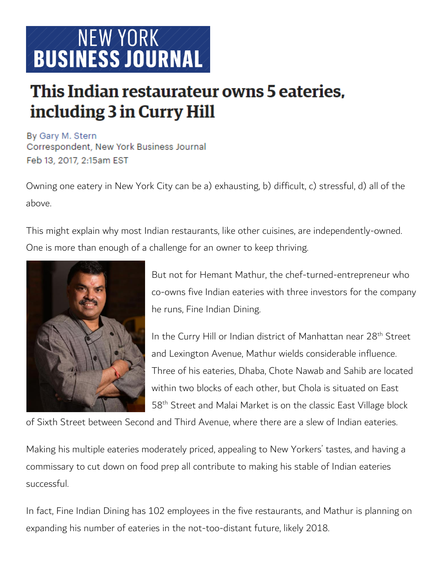# NEW YORK **BUSINESS JOURNAL**

# This Indian restaurateur owns 5 eateries. including 3 in Curry Hill

By Gary M. Stern Correspondent, New York Business Journal Feb 13, 2017, 2:15am EST

Owning one eatery in New York City can be a) exhausting, b) difficult, c) stressful, d) all of the above.

This might explain why most Indian restaurants, like other cuisines, are independently-owned. One is more than enough of a challenge for an owner to keep thriving.



But not for Hemant Mathur, the chef-turned-entrepreneur who co-owns five Indian eateries with three investors for the company he runs, Fine Indian Dining.

In the Curry Hill or Indian district of Manhattan near 28<sup>th</sup> Street and Lexington Avenue, Mathur wields considerable influence. Three of his eateries, Dhaba, Chote Nawab and Sahib are located within two blocks of each other, but Chola is situated on East 58th Street and Malai Market is on the classic East Village block

of Sixth Street between Second and Third Avenue, where there are a slew of Indian eateries.

Making his multiple eateries moderately priced, appealing to New Yorkers' tastes, and having a commissary to cut down on food prep all contribute to making his stable of Indian eateries successful.

In fact, Fine Indian Dining has 102 employees in the five restaurants, and Mathur is planning on expanding his number of eateries in the not-too-distant future, likely 2018.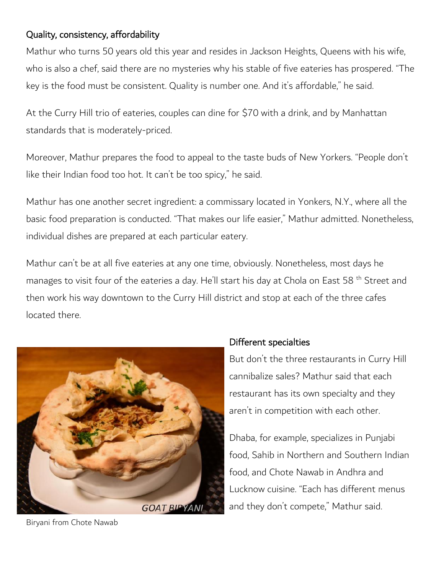## Quality, consistency, affordability

Mathur who turns 50 years old this year and resides in Jackson Heights, Queens with his wife, who is also a chef, said there are no mysteries why his stable of five eateries has prospered. "The key is the food must be consistent. Quality is number one. And it's affordable," he said.

At the Curry Hill trio of eateries, couples can dine for \$70 with a drink, and by Manhattan standards that is moderately-priced.

Moreover, Mathur prepares the food to appeal to the taste buds of New Yorkers. "People don't like their Indian food too hot. It can't be too spicy," he said.

Mathur has one another secret ingredient: a commissary located in Yonkers, N.Y., where all the basic food preparation is conducted. "That makes our life easier," Mathur admitted. Nonetheless, individual dishes are prepared at each particular eatery.

Mathur can't be at all five eateries at any one time, obviously. Nonetheless, most days he manages to visit four of the eateries a day. He'll start his day at Chola on East 58<sup>th</sup> Street and then work his way downtown to the Curry Hill district and stop at each of the three cafes located there.



### Different specialties

But don't the three restaurants in Curry Hill cannibalize sales? Mathur said that each restaurant has its own specialty and they aren't in competition with each other.

Dhaba, for example, specializes in Punjabi food, Sahib in Northern and Southern Indian food, and Chote Nawab in Andhra and Lucknow cuisine. "Each has different menus and they don't compete," Mathur said.

Biryani from Chote Nawab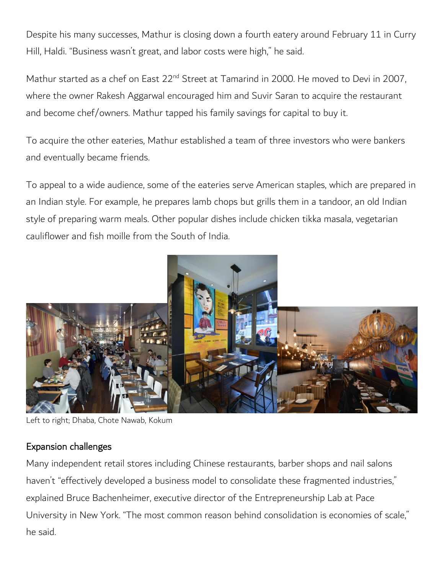Despite his many successes, Mathur is closing down a fourth eatery around February 11 in Curry Hill, Haldi. "Business wasn't great, and labor costs were high," he said.

Mathur started as a chef on East 22<sup>nd</sup> Street at Tamarind in 2000. He moved to Devi in 2007, where the owner Rakesh Aggarwal encouraged him and Suvir Saran to acquire the restaurant and become chef/owners. Mathur tapped his family savings for capital to buy it.

To acquire the other eateries, Mathur established a team of three investors who were bankers and eventually became friends.

To appeal to a wide audience, some of the eateries serve American staples, which are prepared in an Indian style. For example, he prepares lamb chops but grills them in a tandoor, an old Indian style of preparing warm meals. Other popular dishes include chicken tikka masala, vegetarian cauliflower and fish moille from the South of India.



Left to right; Dhaba, Chote Nawab, Kokum

#### Expansion challenges

Many independent retail stores including Chinese restaurants, barber shops and nail salons haven't "effectively developed a business model to consolidate these fragmented industries," explained Bruce Bachenheimer, executive director of the Entrepreneurship Lab at Pace University in New York. "The most common reason behind consolidation is economies of scale," he said.